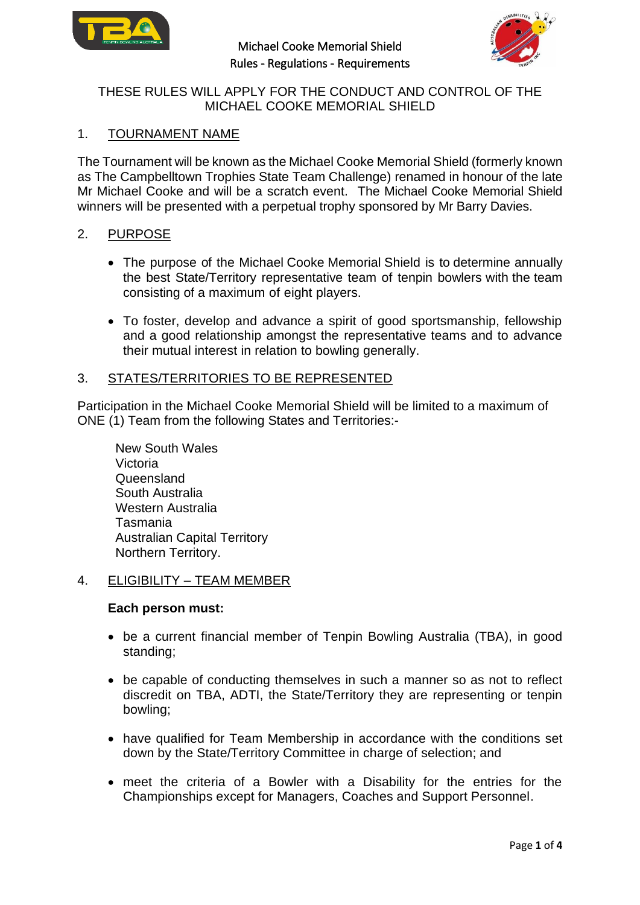



# THESE RULES WILL APPLY FOR THE CONDUCT AND CONTROL OF THE MICHAEL COOKE MEMORIAL SHIELD

# 1. TOURNAMENT NAME

The Tournament will be known as the Michael Cooke Memorial Shield (formerly known as The Campbelltown Trophies State Team Challenge) renamed in honour of the late Mr Michael Cooke and will be a scratch event. The Michael Cooke Memorial Shield winners will be presented with a perpetual trophy sponsored by Mr Barry Davies.

### 2. PURPOSE

- The purpose of the Michael Cooke Memorial Shield is to determine annually the best State/Territory representative team of tenpin bowlers with the team consisting of a maximum of eight players.
- To foster, develop and advance a spirit of good sportsmanship, fellowship and a good relationship amongst the representative teams and to advance their mutual interest in relation to bowling generally.

### 3. STATES/TERRITORIES TO BE REPRESENTED

Participation in the Michael Cooke Memorial Shield will be limited to a maximum of ONE (1) Team from the following States and Territories:-

New South Wales Victoria **Queensland** South Australia Western Australia Tasmania Australian Capital Territory Northern Territory.

## 4. ELIGIBILITY – TEAM MEMBER

### **Each person must:**

- be a current financial member of Tenpin Bowling Australia (TBA), in good standing;
- be capable of conducting themselves in such a manner so as not to reflect discredit on TBA, ADTI, the State/Territory they are representing or tenpin bowling;
- have qualified for Team Membership in accordance with the conditions set down by the State/Territory Committee in charge of selection; and
- meet the criteria of a Bowler with a Disability for the entries for the Championships except for Managers, Coaches and Support Personnel.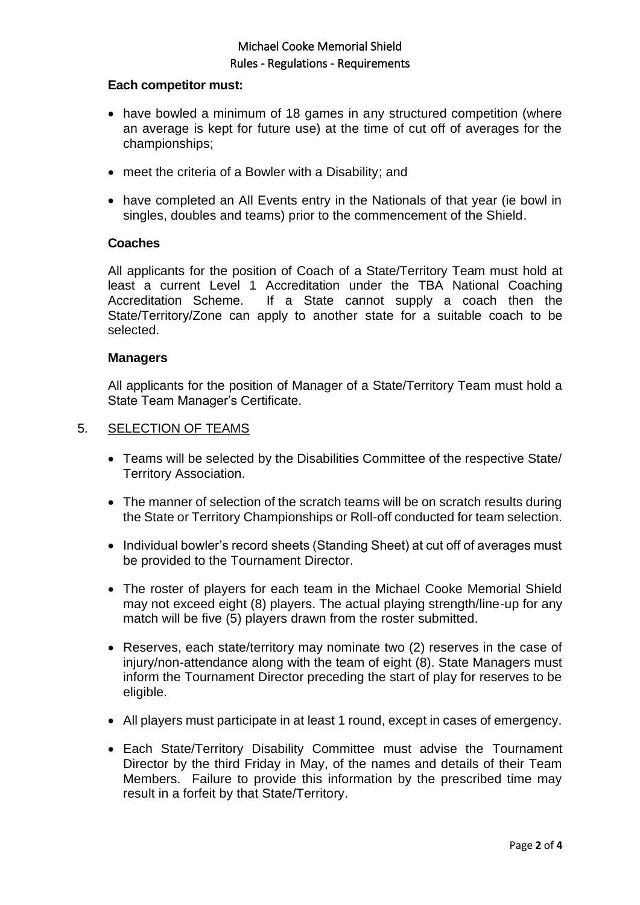# Michael Cooke Memorial Shield Rules - Regulations - Requirements

### **Each competitor must:**

- have bowled a minimum of 18 games in any structured competition (where an average is kept for future use) at the time of cut off of averages for the championships;
- meet the criteria of a Bowler with a Disability; and
- have completed an All Events entry in the Nationals of that year (ie bowl in singles, doubles and teams) prior to the commencement of the Shield.

### **Coaches**

All applicants for the position of Coach of a State/Territory Team must hold at least a current Level 1 Accreditation under the TBA National Coaching Accreditation Scheme. If a State cannot supply a coach then the State/Territory/Zone can apply to another state for a suitable coach to be selected.

### **Managers**

All applicants for the position of Manager of a State/Territory Team must hold a State Team Manager's Certificate.

### 5. SELECTION OF TEAMS

- Teams will be selected by the Disabilities Committee of the respective State/ Territory Association.
- The manner of selection of the scratch teams will be on scratch results during the State or Territory Championships or Roll-off conducted for team selection.
- Individual bowler's record sheets (Standing Sheet) at cut off of averages must be provided to the Tournament Director.
- The roster of players for each team in the Michael Cooke Memorial Shield may not exceed eight (8) players. The actual playing strength/line-up for any match will be five (5) players drawn from the roster submitted.
- Reserves, each state/territory may nominate two (2) reserves in the case of injury/non-attendance along with the team of eight (8). State Managers must inform the Tournament Director preceding the start of play for reserves to be eligible.
- All players must participate in at least 1 round, except in cases of emergency.
- Each State/Territory Disability Committee must advise the Tournament Director by the third Friday in May, of the names and details of their Team Members. Failure to provide this information by the prescribed time may result in a forfeit by that State/Territory.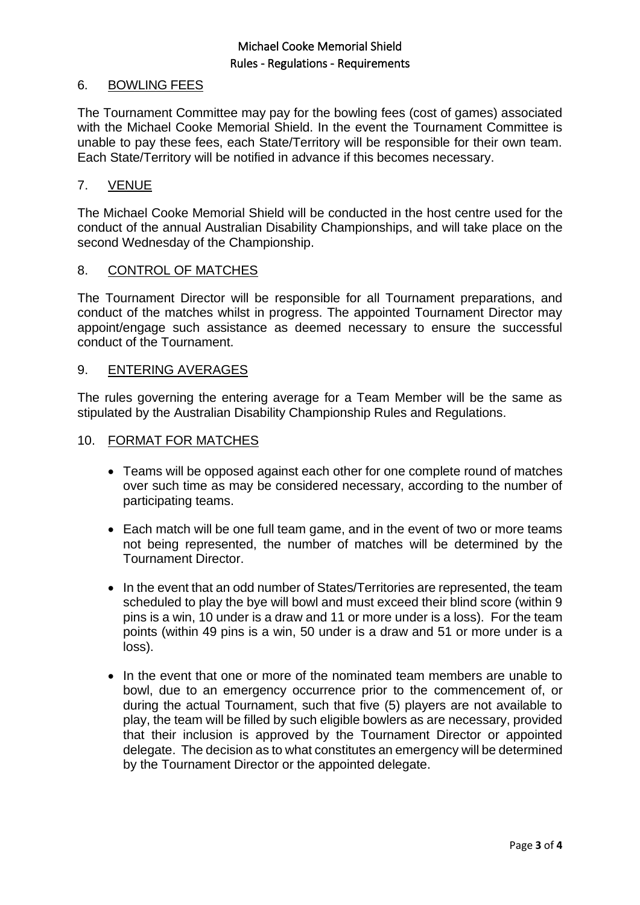# Michael Cooke Memorial Shield Rules - Regulations - Requirements

## 6. BOWLING FEES

The Tournament Committee may pay for the bowling fees (cost of games) associated with the Michael Cooke Memorial Shield. In the event the Tournament Committee is unable to pay these fees, each State/Territory will be responsible for their own team. Each State/Territory will be notified in advance if this becomes necessary.

## 7. VENUE

The Michael Cooke Memorial Shield will be conducted in the host centre used for the conduct of the annual Australian Disability Championships, and will take place on the second Wednesday of the Championship.

## 8. CONTROL OF MATCHES

The Tournament Director will be responsible for all Tournament preparations, and conduct of the matches whilst in progress. The appointed Tournament Director may appoint/engage such assistance as deemed necessary to ensure the successful conduct of the Tournament.

### 9. ENTERING AVERAGES

The rules governing the entering average for a Team Member will be the same as stipulated by the Australian Disability Championship Rules and Regulations.

### 10. FORMAT FOR MATCHES

- Teams will be opposed against each other for one complete round of matches over such time as may be considered necessary, according to the number of participating teams.
- Each match will be one full team game, and in the event of two or more teams not being represented, the number of matches will be determined by the Tournament Director.
- In the event that an odd number of States/Territories are represented, the team scheduled to play the bye will bowl and must exceed their blind score (within 9 pins is a win, 10 under is a draw and 11 or more under is a loss). For the team points (within 49 pins is a win, 50 under is a draw and 51 or more under is a loss).
- In the event that one or more of the nominated team members are unable to bowl, due to an emergency occurrence prior to the commencement of, or during the actual Tournament, such that five (5) players are not available to play, the team will be filled by such eligible bowlers as are necessary, provided that their inclusion is approved by the Tournament Director or appointed delegate. The decision as to what constitutes an emergency will be determined by the Tournament Director or the appointed delegate.